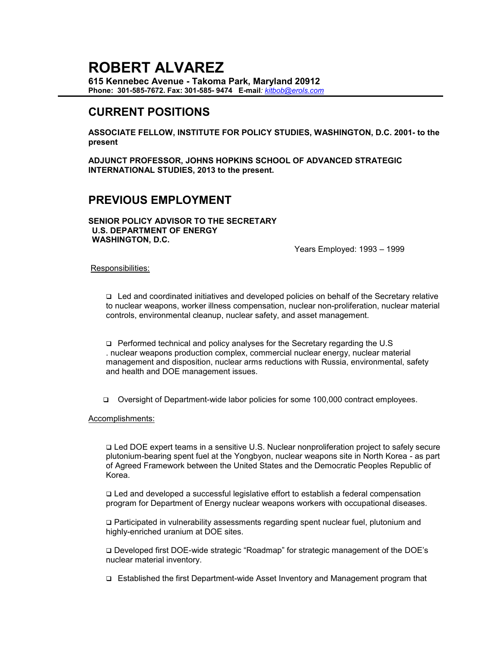# **ROBERT ALVAREZ**

**615 Kennebec Avenue - Takoma Park, Maryland 20912 Phone: 301-585-7672. Fax: 301-585- 9474 E-mail***: kitbob@erols.com*

## **CURRENT POSITIONS**

**ASSOCIATE FELLOW, INSTITUTE FOR POLICY STUDIES, WASHINGTON, D.C. 2001- to the present**

**ADJUNCT PROFESSOR, JOHNS HOPKINS SCHOOL OF ADVANCED STRATEGIC INTERNATIONAL STUDIES, 2013 to the present.**

## **PREVIOUS EMPLOYMENT**

**SENIOR POLICY ADVISOR TO THE SECRETARY U.S. DEPARTMENT OF ENERGY WASHINGTON, D.C.**

Years Employed: 1993 – 1999

#### Responsibilities:

❑ Led and coordinated initiatives and developed policies on behalf of the Secretary relative to nuclear weapons, worker illness compensation, nuclear non-proliferation, nuclear material controls, environmental cleanup, nuclear safety, and asset management.

❑ Performed technical and policy analyses for the Secretary regarding the U.S . nuclear weapons production complex, commercial nuclear energy, nuclear material management and disposition, nuclear arms reductions with Russia, environmental, safety and health and DOE management issues.

❑ Oversight of Department-wide labor policies for some 100,000 contract employees.

Accomplishments:

❑ Led DOE expert teams in a sensitive U.S. Nuclear nonproliferation project to safely secure plutonium-bearing spent fuel at the Yongbyon, nuclear weapons site in North Korea - as part of Agreed Framework between the United States and the Democratic Peoples Republic of Korea.

❑ Led and developed a successful legislative effort to establish a federal compensation program for Department of Energy nuclear weapons workers with occupational diseases.

❑ Participated in vulnerability assessments regarding spent nuclear fuel, plutonium and highly-enriched uranium at DOE sites.

❑ Developed first DOE-wide strategic "Roadmap" for strategic management of the DOE's nuclear material inventory.

❑ Established the first Department-wide Asset Inventory and Management program that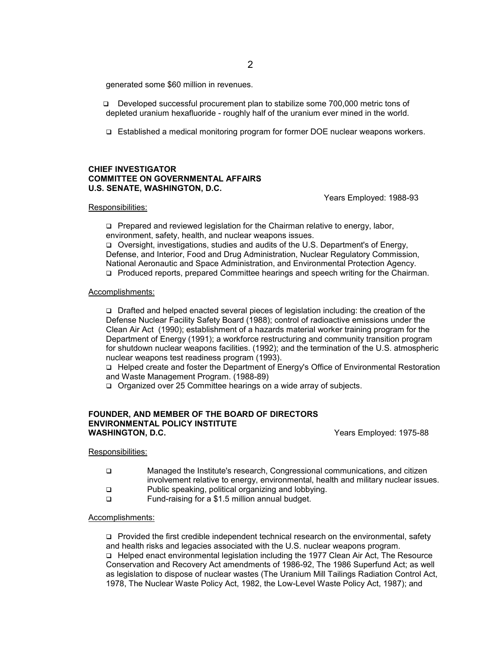generated some \$60 million in revenues.

- ❑ Developed successful procurement plan to stabilize some 700,000 metric tons of depleted uranium hexafluoride - roughly half of the uranium ever mined in the world.
- ❑ Established a medical monitoring program for former DOE nuclear weapons workers.

#### **CHIEF INVESTIGATOR COMMITTEE ON GOVERNMENTAL AFFAIRS U.S. SENATE, WASHINGTON, D.C.**

Years Employed: 1988-93

#### Responsibilities:

❑ Prepared and reviewed legislation for the Chairman relative to energy, labor, environment, safety, health, and nuclear weapons issues.

❑ Oversight, investigations, studies and audits of the U.S. Department's of Energy, Defense, and Interior, Food and Drug Administration, Nuclear Regulatory Commission, National Aeronautic and Space Administration, and Environmental Protection Agency.

❑ Produced reports, prepared Committee hearings and speech writing for the Chairman.

#### Accomplishments:

❑ Drafted and helped enacted several pieces of legislation including: the creation of the Defense Nuclear Facility Safety Board (1988); control of radioactive emissions under the Clean Air Act (1990); establishment of a hazards material worker training program for the Department of Energy (1991); a workforce restructuring and community transition program for shutdown nuclear weapons facilities. (1992); and the termination of the U.S. atmospheric nuclear weapons test readiness program (1993).

❑ Helped create and foster the Department of Energy's Office of Environmental Restoration and Waste Management Program. (1988-89)

❑ Organized over 25 Committee hearings on a wide array of subjects.

#### **FOUNDER, AND MEMBER OF THE BOARD OF DIRECTORS ENVIRONMENTAL POLICY INSTITUTE WASHINGTON, D.C.** WASHINGTON, D.C.

#### Responsibilities:

- ❑ Managed the Institute's research, Congressional communications, and citizen involvement relative to energy, environmental, health and military nuclear issues.
- ❑ Public speaking, political organizing and lobbying.
- ❑ Fund-raising for a \$1.5 million annual budget.

#### Accomplishments:

❑ Provided the first credible independent technical research on the environmental, safety and health risks and legacies associated with the U.S. nuclear weapons program. ❑ Helped enact environmental legislation including the 1977 Clean Air Act, The Resource Conservation and Recovery Act amendments of 1986-92, The 1986 Superfund Act; as well as legislation to dispose of nuclear wastes (The Uranium Mill Tailings Radiation Control Act, 1978, The Nuclear Waste Policy Act, 1982, the Low-Level Waste Policy Act, 1987); and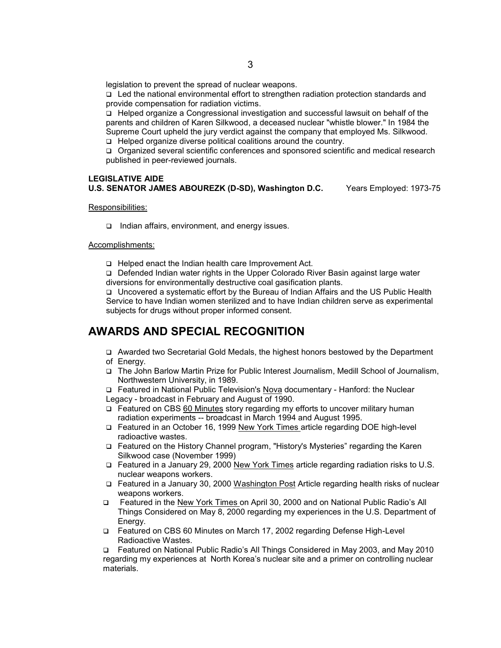legislation to prevent the spread of nuclear weapons.

❑ Led the national environmental effort to strengthen radiation protection standards and provide compensation for radiation victims.

❑ Helped organize a Congressional investigation and successful lawsuit on behalf of the parents and children of Karen Silkwood, a deceased nuclear "whistle blower." In 1984 the Supreme Court upheld the jury verdict against the company that employed Ms. Silkwood.

❑ Helped organize diverse political coalitions around the country.

❑ Organized several scientific conferences and sponsored scientific and medical research published in peer-reviewed journals.

#### **LEGISLATIVE AIDE U.S. SENATOR JAMES ABOUREZK (D-SD), Washington D.C.** Years Employed: 1973-75

Responsibilities:

❑ Indian affairs, environment, and energy issues.

#### Accomplishments:

❑ Helped enact the Indian health care Improvement Act.

❑ Defended Indian water rights in the Upper Colorado River Basin against large water diversions for environmentally destructive coal gasification plants.

❑ Uncovered a systematic effort by the Bureau of Indian Affairs and the US Public Health Service to have Indian women sterilized and to have Indian children serve as experimental subjects for drugs without proper informed consent.

## **AWARDS AND SPECIAL RECOGNITION**

- ❑ Awarded two Secretarial Gold Medals, the highest honors bestowed by the Department of Energy.
- ❑ The John Barlow Martin Prize for Public Interest Journalism, Medill School of Journalism, Northwestern University, in 1989.

❑ Featured in National Public Television's Nova documentary - Hanford: the Nuclear Legacy - broadcast in February and August of 1990.

- ❑ Featured on CBS 60 Minutes story regarding my efforts to uncover military human radiation experiments -- broadcast in March 1994 and August 1995.
- ❑ Featured in an October 16, 1999 New York Times article regarding DOE high-level radioactive wastes.
- ❑ Featured on the History Channel program, "History's Mysteries" regarding the Karen Silkwood case (November 1999)
- ❑ Featured in a January 29, 2000 New York Times article regarding radiation risks to U.S. nuclear weapons workers.
- ❑ Featured in a January 30, 2000 Washington Post Article regarding health risks of nuclear weapons workers.
- ❑ Featured in the New York Times on April 30, 2000 and on National Public Radio's All Things Considered on May 8, 2000 regarding my experiences in the U.S. Department of Energy.
- ❑ Featured on CBS 60 Minutes on March 17, 2002 regarding Defense High-Level Radioactive Wastes.

❑ Featured on National Public Radio's All Things Considered in May 2003, and May 2010 regarding my experiences at North Korea's nuclear site and a primer on controlling nuclear materials.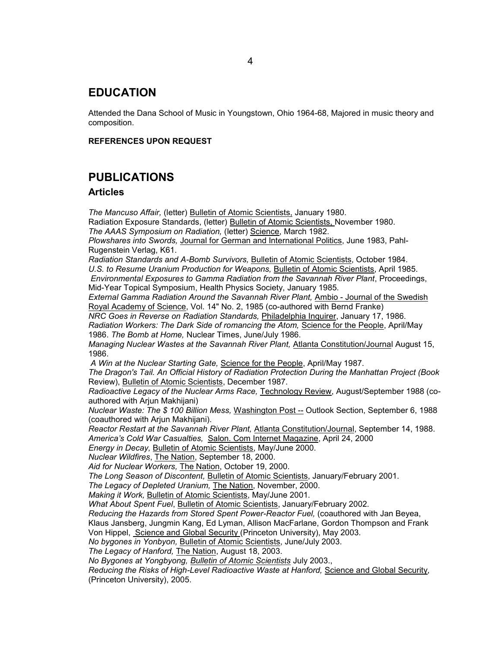### **EDUCATION**

Attended the Dana School of Music in Youngstown, Ohio 1964-68, Majored in music theory and composition.

#### **REFERENCES UPON REQUEST**

## **PUBLICATIONS**

#### **Articles**

*The Mancuso Affair,* (letter) Bulletin of Atomic Scientists, January 1980. Radiation Exposure Standards, (letter) Bulletin of Atomic Scientists, November 1980. *The AAAS Symposium on Radiation,* (letter) Science, March 1982. *Plowshares into Swords,* Journal for German and International Politics, June 1983, Pahl-Rugenstein Verlag, K61. *Radiation Standards and A-Bomb Survivors,* Bulletin of Atomic Scientists, October 1984. *U.S. to Resume Uranium Production for Weapons,* Bulletin of Atomic Scientists, April 1985. *Environmental Exposures to Gamma Radiation from the Savannah River Plant*, Proceedings, Mid-Year Topical Symposium, Health Physics Society, January 1985. *External Gamma Radiation Around the Savannah River Plant,* Ambio - Journal of the Swedish Royal Academy of Science, Vol. 14" No. 2, 1985 (co-authored with Bernd Franke) *NRC Goes in Reverse on Radiation Standards,* Philadelphia Inquirer, January 17, 1986. *Radiation Workers: The Dark Side of romancing the Atom,* Science for the People, April/May 1986. *The Bomb at Home,* Nuclear Times, June/July 1986. *Managing Nuclear Wastes at the Savannah River Plant,* Atlanta Constitution/Journal August 15, 1986. *A Win at the Nuclear Starting Gate,* Science for the People, April/May 1987. *The Dragon's Tail. An Official History of Radiation Protection During the Manhattan Project (Book* Review), Bulletin of Atomic Scientists, December 1987. *Radioactive Legacy of the Nuclear Arms Race,* Technology Review, August/September 1988 (coauthored with Arjun Makhijani) *Nuclear Waste: The \$ 100 Billion Mess,* Washington Post -- Outlook Section, September 6, 1988 (coauthored with Arjun Makhijani). *Reactor Restart at the Savannah River Plant,* Atlanta Constitution/Journal, September 14, 1988. *America's Cold War Casualties,* Salon. Com Internet Magazine, April 24, 2000 *Energy in Decay,* Bulletin of Atomic Scientists, May/June 2000. *Nuclear Wildfires*, The Nation, September 18, 2000. *Aid for Nuclear Workers,* The Nation, October 19, 2000. *The Long Season of Discontent,* Bulletin of Atomic Scientists, January/February 2001. *The Legacy of Depleted Uranium,* The Nation, November, 2000. *Making it Work,* Bulletin of Atomic Scientists, May/June 2001. *What About Spent Fuel*, Bulletin of Atomic Scientists, January/February 2002. *Reducing the Hazards from Stored Spent Power-Reactor Fuel,* (coauthored with Jan Beyea, Klaus Jansberg, Jungmin Kang, Ed Lyman, Allison MacFarlane, Gordon Thompson and Frank Von Hippel, Science and Global Security (Princeton University), May 2003. *No bygones in Yonbyon,* Bulletin of Atomic Scientists, June/July 2003. *The Legacy of Hanford,* The Nation, August 18, 2003. *No Bygones at Yongbyong, Bulletin of Atomic Scientists* July 2003., *Reducing the Risks of High-Level Radioactive Waste at Hanford,* Science and Global Security, (Princeton University), 2005.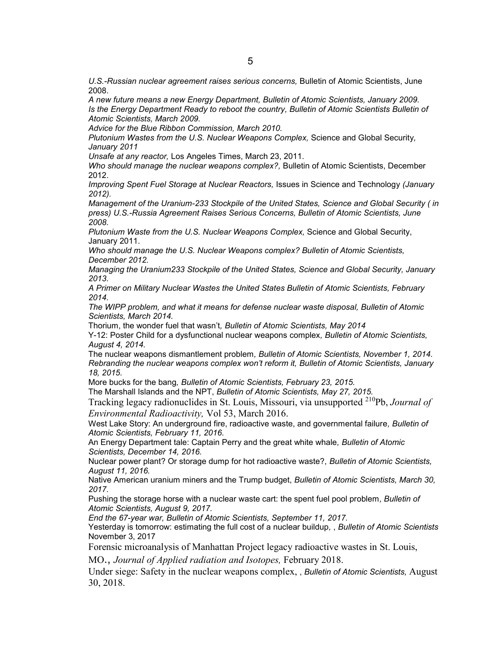*U.S.-Russian nuclear agreement raises serious concerns,* Bulletin of Atomic Scientists, June 2008.

*A new future means a new Energy Department, Bulletin of Atomic Scientists, January 2009. Is the Energy Department Ready to reboot the country, Bulletin of Atomic Scientists Bulletin of Atomic Scientists, March 2009.*

*Advice for the Blue Ribbon Commission, March 2010.*

*Plutonium Wastes from the U.S. Nuclear Weapons Complex,* Science and Global Security*, January 2011*

*Unsafe at any reactor,* Los Angeles Times, March 23, 2011.

*Who should manage the nuclear weapons complex?,* Bulletin of Atomic Scientists, December 2012.

*Improving Spent Fuel Storage at Nuclear Reactors,* Issues in Science and Technology *(January 2012).*

*Management of the Uranium-233 Stockpile of the United States, Science and Global Security ( in press) U.S.-Russia Agreement Raises Serious Concerns, Bulletin of Atomic Scientists, June 2008.*

*Plutonium Waste from the U.S. Nuclear Weapons Complex,* Science and Global Security, January 2011.

*Who should manage the U.S. Nuclear Weapons complex? Bulletin of Atomic Scientists, December 2012.*

*Managing the Uranium233 Stockpile of the United States, Science and Global Security, January 2013.*

*A Primer on Military Nuclear Wastes the United States Bulletin of Atomic Scientists, February 2014.*

*The WIPP problem, and what it means for defense nuclear waste disposal, Bulletin of Atomic Scientists, March 2014.*

Thorium, the wonder fuel that wasn't*, Bulletin of Atomic Scientists, May 2014*

Y-12: Poster Child for a dysfunctional nuclear weapons complex*, Bulletin of Atomic Scientists, August 4, 2014.*

The nuclear weapons dismantlement problem*, Bulletin of Atomic Scientists, November 1, 2014. Rebranding the nuclear weapons complex won't reform it, Bulletin of Atomic Scientists, January 18, 2015.*

More bucks for the bang*, Bulletin of Atomic Scientists, February 23, 2015.*

The Marshall Islands and the NPT, *Bulletin of Atomic Scientists, May 27, 2015.*

Tracking legacy radionuclides in St. Louis, Missouri, via unsupported 210Pb, *Journal of Environmental Radioactivity,* Vol 53, March 2016.

West Lake Story: An underground fire, radioactive waste, and governmental failure*, Bulletin of Atomic Scientists, February 11, 2016.*

An Energy Department tale: Captain Perry and the great white whale*, Bulletin of Atomic Scientists, December 14, 2016.*

Nuclear power plant? Or storage dump for hot radioactive waste?, *Bulletin of Atomic Scientists, August 11, 2016.*

Native American uranium miners and the Trump budget, *Bulletin of Atomic Scientists, March 30, 2017.*

Pushing the storage horse with a nuclear waste cart: the spent fuel pool problem*, Bulletin of Atomic Scientists, August 9, 2017.*

*End the 67-year war, Bulletin of Atomic Scientists, September 11, 2017.*

Yesterday is tomorrow: estimating the full cost of a nuclear buildup*,* , *Bulletin of Atomic Scientists*  November 3, 2017

Forensic microanalysis of Manhattan Project legacy radioactive wastes in St. Louis,

MO., *Journal of Applied radiation and Isotopes,* February 2018.

Under siege: Safety in the nuclear weapons complex, , *Bulletin of Atomic Scientists,* August 30, 2018.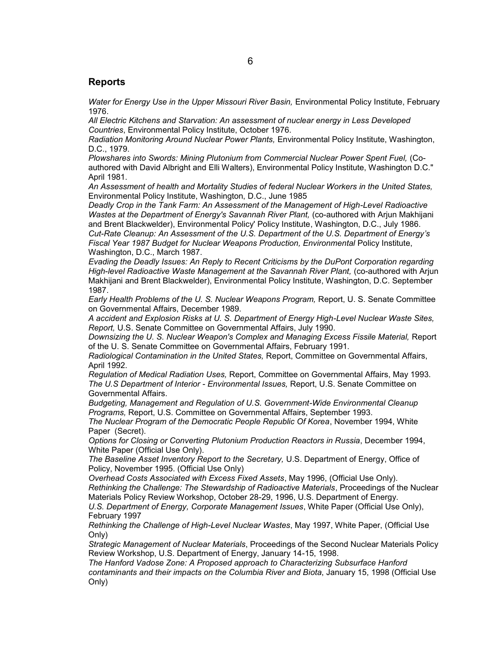#### **Reports**

*Water for Energy Use in the Upper Missouri River Basin, Environmental Policy Institute, February* 1976.

*All Electric Kitchens and Starvation: An assessment of nuclear energy in Less Developed Countries*, Environmental Policy Institute, October 1976.

*Radiation Monitoring Around Nuclear Power Plants,* Environmental Policy Institute, Washington, D.C., 1979.

*Plowshares into Swords: Mining Plutonium from Commercial Nuclear Power Spent Fuel,* (Coauthored with David Albright and Elli Walters), Environmental Policy Institute, Washington D.C." April 1981.

*An Assessment of health and Mortality Studies of federal Nuclear Workers in the United States,* Environmental Policy Institute, Washington, D.C., June 1985

*Deadly Crop in the Tank Farm: An Assessment of the Management of High-Level Radioactive Wastes at the Department of Energy's Savannah River Plant,* (co-authored with Arjun Makhijani and Brent Blackwelder), Environmental Policy' Policy Institute, Washington, D.C., July 1986. *Cut-Rate Cleanup: An Assessment of the U.S. Department of the U.S. Department of Energy's Fiscal Year 1987 Budget for Nuclear Weapons Production, Environmental* Policy Institute, Washington, D.C., March 1987.

*Evading the Deadly Issues: An Reply to Recent Criticisms by the DuPont Corporation regarding*  High-level Radioactive Waste Management at the Savannah River Plant, (co-authored with Ariun Makhijani and Brent Blackwelder), Environmental Policy Institute, Washington, D.C. September 1987.

*Early Health Problems of the U. S. Nuclear Weapons Program,* Report, U. S. Senate Committee on Governmental Affairs, December 1989.

*A accident and Explosion Risks at U. S. Department of Energy High-Level Nuclear Waste Sites, Report,* U.S. Senate Committee on Governmental Affairs, July 1990.

Downsizing the U. S. Nuclear Weapon's Complex and Managing Excess Fissile Material, Report of the U. S. Senate Committee on Governmental Affairs, February 1991.

*Radiological Contamination in the United States,* Report, Committee on Governmental Affairs, April 1992.

*Regulation of Medical Radiation Uses,* Report, Committee on Governmental Affairs, May 1993. *The U.S Department of Interior - Environmental Issues,* Report, U.S. Senate Committee on Governmental Affairs.

*Budgeting, Management and Regulation of U.S. Government-Wide Environmental Cleanup Programs,* Report, U.S. Committee on Governmental Affairs, September 1993.

*The Nuclear Program of the Democratic People Republic Of Korea*, November 1994, White Paper (Secret).

*Options for Closing or Converting Plutonium Production Reactors in Russia*, December 1994, White Paper (Official Use Only).

*The Baseline Asset Inventory Report to the Secretary,* U.S. Department of Energy, Office of Policy, November 1995. (Official Use Only)

*Overhead Costs Associated with Excess Fixed Assets*, May 1996, (Official Use Only). *Rethinking the Challenge: The Stewardship of Radioactive Materials*, Proceedings of the Nuclear Materials Policy Review Workshop, October 28-29, 1996, U.S. Department of Energy. *U.S. Department of Energy, Corporate Management Issues*, White Paper (Official Use Only), February 1997

*Rethinking the Challenge of High-Level Nuclear Wastes*, May 1997, White Paper, (Official Use Only)

*Strategic Management of Nuclear Materials*, Proceedings of the Second Nuclear Materials Policy Review Workshop, U.S. Department of Energy, January 14-15, 1998.

*The Hanford Vadose Zone: A Proposed approach to Characterizing Subsurface Hanford contaminants and their impacts on the Columbia River and Biota*, January 15, 1998 (Official Use Only)